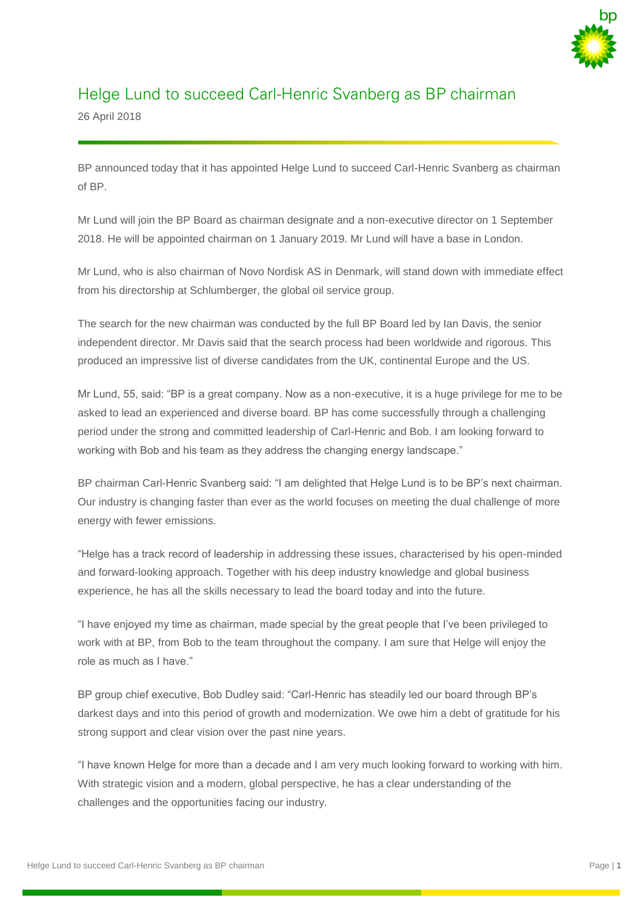

## Helge Lund to succeed Carl-Henric Svanberg as BP chairman

26 April 2018

BP announced today that it has appointed Helge Lund to succeed Carl-Henric Svanberg as chairman of BP.

Mr Lund will join the BP Board as chairman designate and a non-executive director on 1 September 2018. He will be appointed chairman on 1 January 2019. Mr Lund will have a base in London.

Mr Lund, who is also chairman of Novo Nordisk AS in Denmark, will stand down with immediate effect from his directorship at Schlumberger, the global oil service group.

The search for the new chairman was conducted by the full BP Board led by Ian Davis, the senior independent director. Mr Davis said that the search process had been worldwide and rigorous. This produced an impressive list of diverse candidates from the UK, continental Europe and the US.

Mr Lund, 55, said: "BP is a great company. Now as a non-executive, it is a huge privilege for me to be asked to lead an experienced and diverse board. BP has come successfully through a challenging period under the strong and committed leadership of Carl-Henric and Bob. I am looking forward to working with Bob and his team as they address the changing energy landscape."

BP chairman Carl-Henric Svanberg said: "I am delighted that Helge Lund is to be BP's next chairman. Our industry is changing faster than ever as the world focuses on meeting the dual challenge of more energy with fewer emissions.

"Helge has a track record of leadership in addressing these issues, characterised by his open-minded and forward-looking approach. Together with his deep industry knowledge and global business experience, he has all the skills necessary to lead the board today and into the future.

"I have enjoyed my time as chairman, made special by the great people that I've been privileged to work with at BP, from Bob to the team throughout the company. I am sure that Helge will enjoy the role as much as I have."

BP group chief executive, Bob Dudley said: "Carl-Henric has steadily led our board through BP's darkest days and into this period of growth and modernization. We owe him a debt of gratitude for his strong support and clear vision over the past nine years.

"I have known Helge for more than a decade and I am very much looking forward to working with him. With strategic vision and a modern, global perspective, he has a clear understanding of the challenges and the opportunities facing our industry.